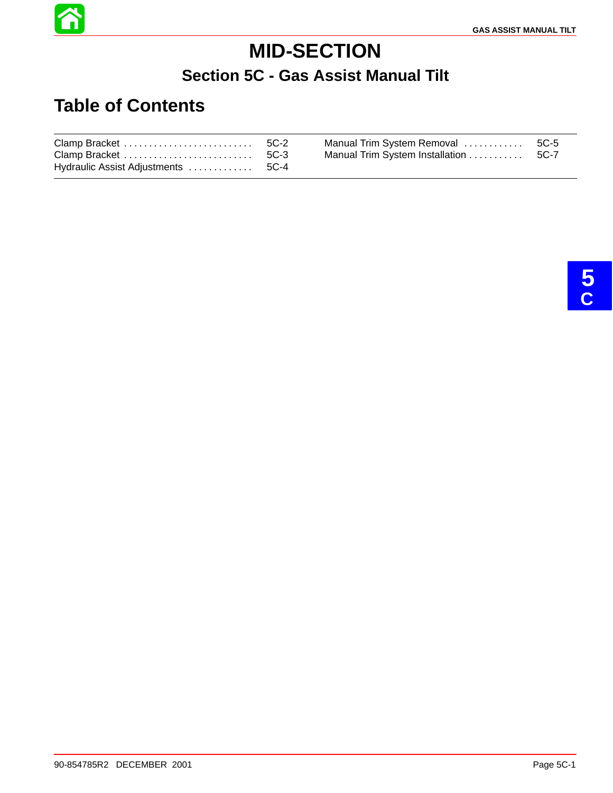

# **MID-SECTION**

### **Section 5C - Gas Assist Manual Tilt**

### **Table of Contents**

|  | Manual Trim System Removal  5C-5      |  |
|--|---------------------------------------|--|
|  | Manual Trim System Installation  5C-7 |  |
|  |                                       |  |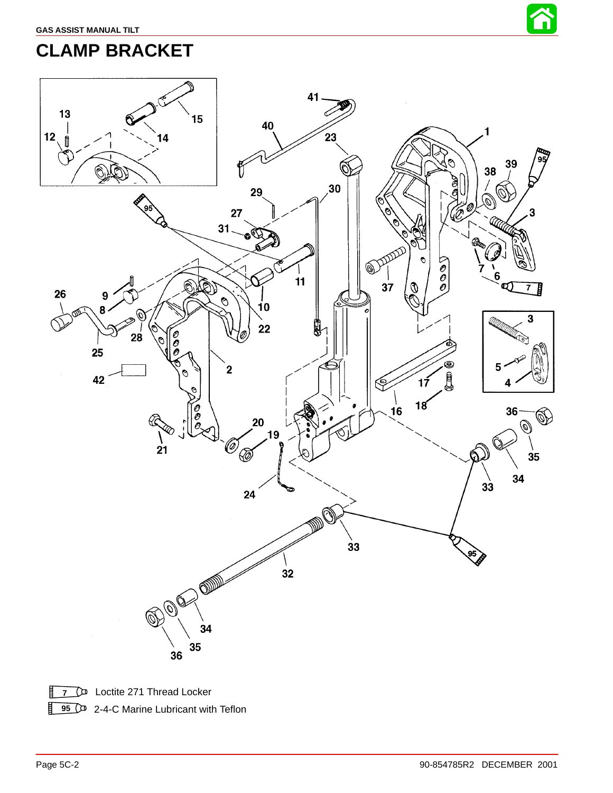

## **CLAMP BRACKET**



**7 C** Loctite 271 Thread Locker

**95** 2-4-C Marine Lubricant with Teflon

盯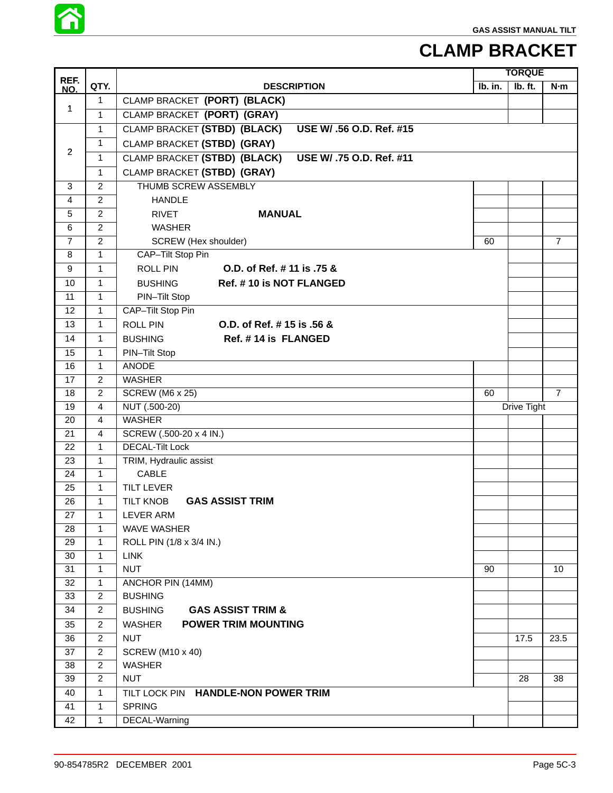

### **CLAMP BRACKET**

| REF.           |                | <b>TORQUE</b>                                            |         |             |                |
|----------------|----------------|----------------------------------------------------------|---------|-------------|----------------|
| NO.            | QTY.           | <b>DESCRIPTION</b>                                       | Ib. in. | Ib. ft.     | N·m            |
| 1              | 1              | CLAMP BRACKET (PORT) (BLACK)                             |         |             |                |
|                | 1              | CLAMP BRACKET (PORT) (GRAY)                              |         |             |                |
|                | $\mathbf{1}$   | CLAMP BRACKET (STBD) (BLACK)<br>USE W/ .56 O.D. Ref. #15 |         |             |                |
|                | 1              | CLAMP BRACKET (STBD) (GRAY)                              |         |             |                |
| $\overline{2}$ | $\mathbf{1}$   | CLAMP BRACKET (STBD) (BLACK)<br>USE W/ .75 O.D. Ref. #11 |         |             |                |
|                | $\mathbf{1}$   | CLAMP BRACKET (STBD) (GRAY)                              |         |             |                |
| 3              | $\overline{2}$ | THUMB SCREW ASSEMBLY                                     |         |             |                |
| 4              | $\overline{2}$ | <b>HANDLE</b>                                            |         |             |                |
| 5              | $\overline{c}$ | <b>MANUAL</b><br><b>RIVET</b>                            |         |             |                |
| 6              | $\overline{c}$ | <b>WASHER</b>                                            |         |             |                |
| $\overline{7}$ | $\overline{c}$ | SCREW (Hex shoulder)                                     | 60      |             | $\overline{7}$ |
| 8              | $\mathbf{1}$   | CAP-Tilt Stop Pin                                        |         |             |                |
| 9              | $\mathbf{1}$   | O.D. of Ref. # 11 is .75 &<br><b>ROLL PIN</b>            |         |             |                |
| 10             | 1              | Ref. #10 is NOT FLANGED<br><b>BUSHING</b>                |         |             |                |
| 11             | 1              | PIN-Tilt Stop                                            |         |             |                |
| 12             | 1              | CAP-Tilt Stop Pin                                        |         |             |                |
| 13             | $\mathbf{1}$   | <b>ROLL PIN</b><br>O.D. of Ref. # 15 is .56 &            |         |             |                |
| 14             | 1              | Ref. #14 is FLANGED<br><b>BUSHING</b>                    |         |             |                |
| 15             | 1              | PIN-Tilt Stop                                            |         |             |                |
| 16             | $\mathbf{1}$   | <b>ANODE</b>                                             |         |             |                |
| 17             | $\overline{c}$ | <b>WASHER</b>                                            |         |             |                |
| 18             | 2              | SCREW (M6 x 25)                                          | 60      |             | $\overline{7}$ |
| 19             | 4              | NUT (.500-20)                                            |         | Drive Tight |                |
| 20             | 4              | <b>WASHER</b>                                            |         |             |                |
| 21             | 4              | SCREW (.500-20 x 4 IN.)                                  |         |             |                |
| 22             | $\mathbf{1}$   | <b>DECAL-Tilt Lock</b>                                   |         |             |                |
| 23             | 1              | TRIM, Hydraulic assist                                   |         |             |                |
| 24             | $\mathbf{1}$   | <b>CABLE</b>                                             |         |             |                |
| 25             | 1              | <b>TILT LEVER</b>                                        |         |             |                |
| 26             | $\mathbf{1}$   | <b>TILT KNOB</b><br><b>GAS ASSIST TRIM</b>               |         |             |                |
| 27             | 1              | LEVER ARM                                                |         |             |                |
| 28             | $\mathbf{1}$   | <b>WAVE WASHER</b>                                       |         |             |                |
| 29             | 1              | ROLL PIN (1/8 x 3/4 IN.)                                 |         |             |                |
| 30             | 1              | <b>LINK</b>                                              |         |             |                |
| 31             | 1              | <b>NUT</b>                                               | 90      |             | 10             |
| 32             | 1              | ANCHOR PIN (14MM)                                        |         |             |                |
| 33             | $\overline{c}$ | <b>BUSHING</b>                                           |         |             |                |
| 34             | $\overline{2}$ | <b>GAS ASSIST TRIM &amp;</b><br><b>BUSHING</b>           |         |             |                |
| 35             | $\overline{2}$ | <b>POWER TRIM MOUNTING</b><br>WASHER                     |         |             |                |
| 36             | $\overline{2}$ | <b>NUT</b>                                               |         | 17.5        | 23.5           |
| 37             | 2              | <b>SCREW (M10 x 40)</b>                                  |         |             |                |
| 38             | $\overline{2}$ | <b>WASHER</b>                                            |         |             |                |
| 39             | $\overline{2}$ | <b>NUT</b>                                               |         | 28          | 38             |
| 40             | $\mathbf{1}$   | TILT LOCK PIN HANDLE-NON POWER TRIM                      |         |             |                |
| 41             | 1              | <b>SPRING</b>                                            |         |             |                |
| 42             | $\mathbf{1}$   | DECAL-Warning                                            |         |             |                |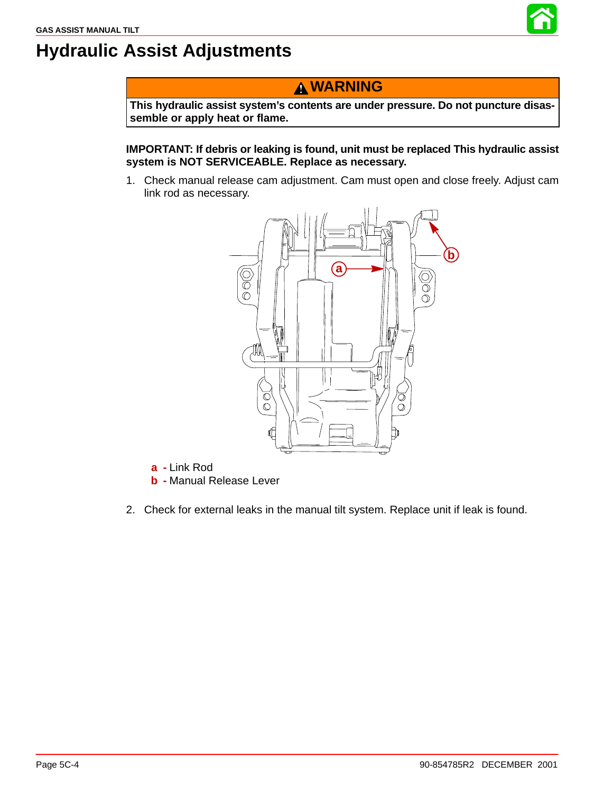

## <span id="page-3-0"></span>**Hydraulic Assist Adjustments**

#### **WARNING**

**This hydraulic assist system's contents are under pressure. Do not puncture disassemble or apply heat or flame.**

**IMPORTANT: If debris or leaking is found, unit must be replaced This hydraulic assist system is NOT SERVICEABLE. Replace as necessary.**

1. Check manual release cam adjustment. Cam must open and close freely. Adjust cam link rod as necessary.



**a -** Link Rod

- **b -** Manual Release Lever
- 2. Check for external leaks in the manual tilt system. Replace unit if leak is found.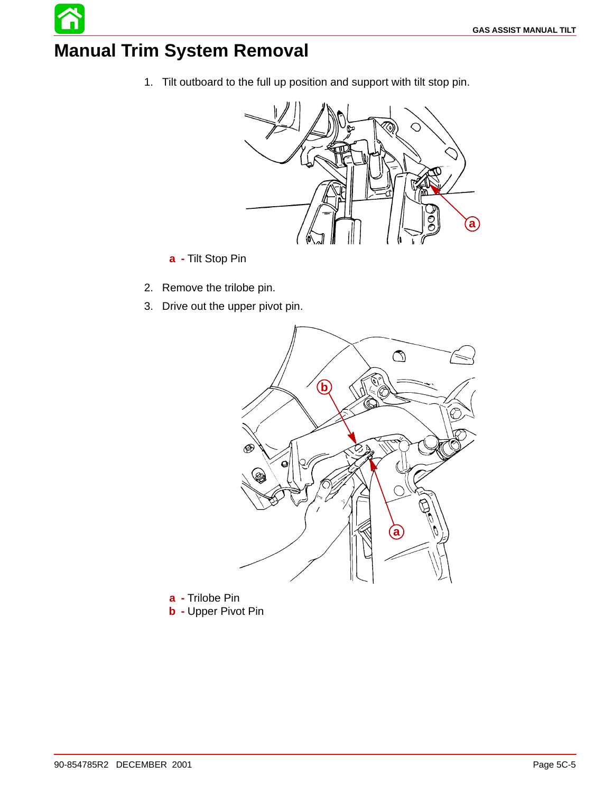## **Manual Trim System Removal**

1. Tilt outboard to the full up position and support with tilt stop pin.



- **a -** Tilt Stop Pin
- 2. Remove the trilobe pin.
- 3. Drive out the upper pivot pin.



**a -** Trilobe Pin **b -** Upper Pivot Pin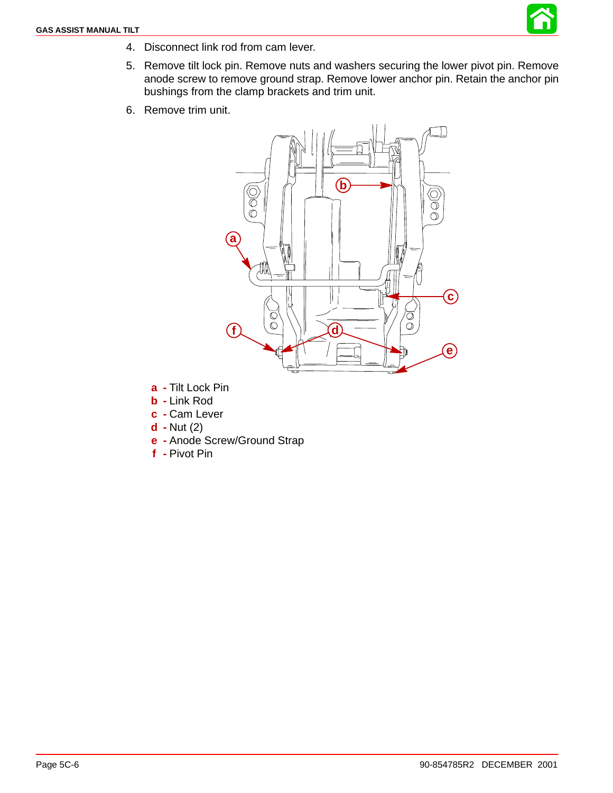

- 4. Disconnect link rod from cam lever.
- 5. Remove tilt lock pin. Remove nuts and washers securing the lower pivot pin. Remove anode screw to remove ground strap. Remove lower anchor pin. Retain the anchor pin bushings from the clamp brackets and trim unit.
- 6. Remove trim unit.



- **a -** Tilt Lock Pin
- **b -** Link Rod
- **c -** Cam Lever
- **d -** Nut (2)
- **e -** Anode Screw/Ground Strap
- **f -** Pivot Pin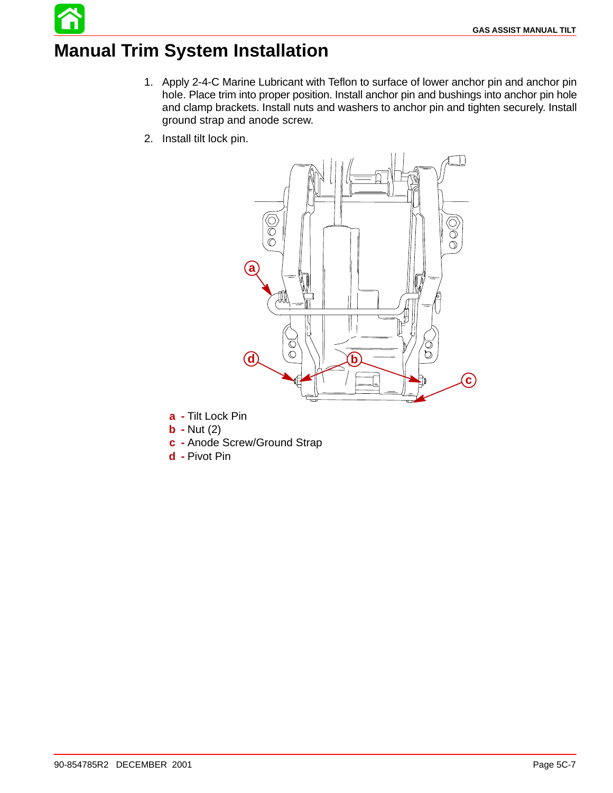## **Manual Trim System Installation**

- 1. Apply 2-4-C Marine Lubricant with Teflon to surface of lower anchor pin and anchor pin hole. Place trim into proper position. Install anchor pin and bushings into anchor pin hole and clamp brackets. Install nuts and washers to anchor pin and tighten securely. Install ground strap and anode screw.
- 2. Install tilt lock pin.



- **a -** Tilt Lock Pin
- **b -** Nut (2)
- **c -** Anode Screw/Ground Strap
- **d -** Pivot Pin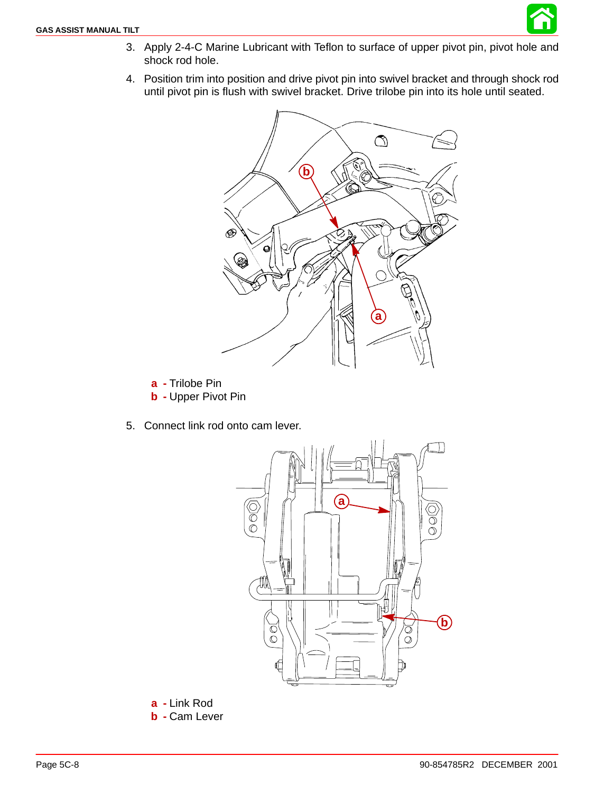

- 3. Apply 2-4-C Marine Lubricant with Teflon to surface of upper pivot pin, pivot hole and shock rod hole.
- 4. Position trim into position and drive pivot pin into swivel bracket and through shock rod until pivot pin is flush with swivel bracket. Drive trilobe pin into its hole until seated.



- **a -** Trilobe Pin **b -** Upper Pivot Pin
- 5. Connect link rod onto cam lever.



**a -** Link Rod **b -** Cam Lever